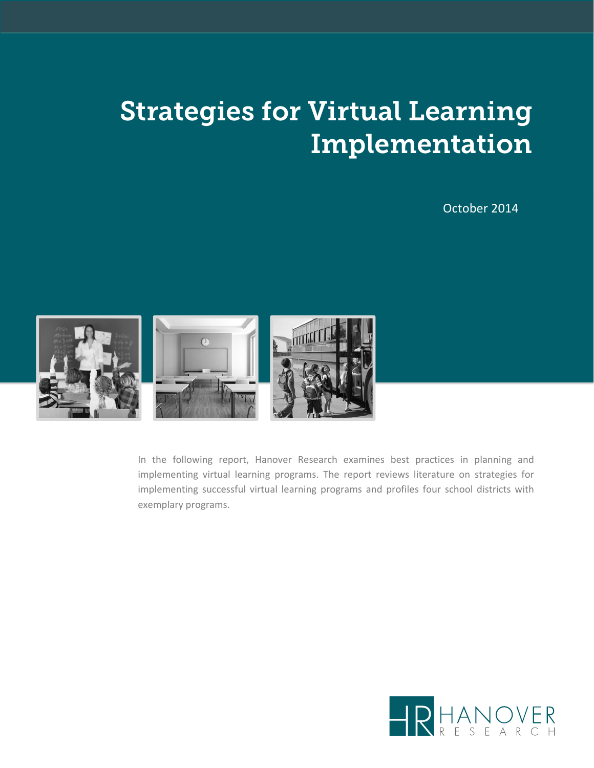# Strategies for Virtual Learning Implementation

#### October 2014



In the following report, Hanover Research examines best practices in planning and implementing virtual learning programs. The report reviews literature on strategies for implementing successful virtual learning programs and profiles four school districts with exemplary programs.

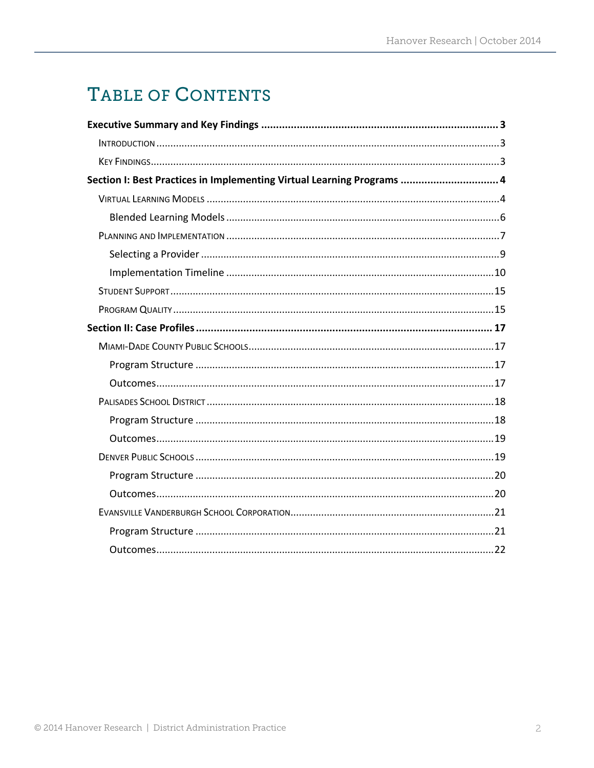## TABLE OF CONTENTS

| Section I: Best Practices in Implementing Virtual Learning Programs  4 |  |
|------------------------------------------------------------------------|--|
|                                                                        |  |
|                                                                        |  |
|                                                                        |  |
|                                                                        |  |
|                                                                        |  |
|                                                                        |  |
|                                                                        |  |
|                                                                        |  |
|                                                                        |  |
|                                                                        |  |
|                                                                        |  |
|                                                                        |  |
|                                                                        |  |
|                                                                        |  |
|                                                                        |  |
|                                                                        |  |
|                                                                        |  |
|                                                                        |  |
|                                                                        |  |
|                                                                        |  |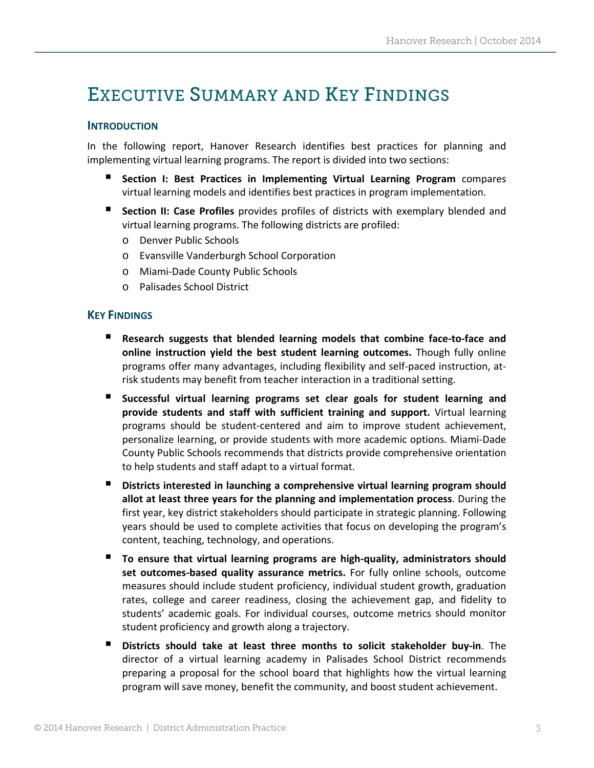### EXECUTIVE SUMMARY AND KEY FINDINGS

#### **INTRODUCTION**

In the following report, Hanover Research identifies best practices for planning and implementing virtual learning programs. The report is divided into two sections:

- **Section I: Best Practices in Implementing Virtual Learning Program** compares virtual learning models and identifies best practices in program implementation.
- **Section II: Case Profiles** provides profiles of districts with exemplary blended and virtual learning programs. The following districts are profiled:
	- o Denver Public Schools
	- o Evansville Vanderburgh School Corporation
	- o Miami‐Dade County Public Schools
	- o Palisades School District

#### **KEY FINDINGS**

- **Research suggests that blended learning models that combine face‐to‐face and online instruction yield the best student learning outcomes.** Though fully online programs offer many advantages, including flexibility and self‐paced instruction, at‐ risk students may benefit from teacher interaction in a traditional setting.
- **Successful virtual learning programs set clear goals for student learning and provide students and staff with sufficient training and support.** Virtual learning programs should be student‐centered and aim to improve student achievement, personalize learning, or provide students with more academic options. Miami‐Dade County Public Schools recommends that districts provide comprehensive orientation to help students and staff adapt to a virtual format.
- **Districts interested in launching a comprehensive virtual learning program should allot at least three years for the planning and implementation process**. During the first year, key district stakeholders should participate in strategic planning. Following years should be used to complete activities that focus on developing the program's content, teaching, technology, and operations.
- **To ensure that virtual learning programs are high‐quality, administrators should set outcomes‐based quality assurance metrics.** For fully online schools, outcome measures should include student proficiency, individual student growth, graduation rates, college and career readiness, closing the achievement gap, and fidelity to students' academic goals. For individual courses, outcome metrics should monitor student proficiency and growth along a trajectory.
- **Districts should take at least three months to solicit stakeholder buy‐in**. The director of a virtual learning academy in Palisades School District recommends preparing a proposal for the school board that highlights how the virtual learning program will save money, benefit the community, and boost student achievement.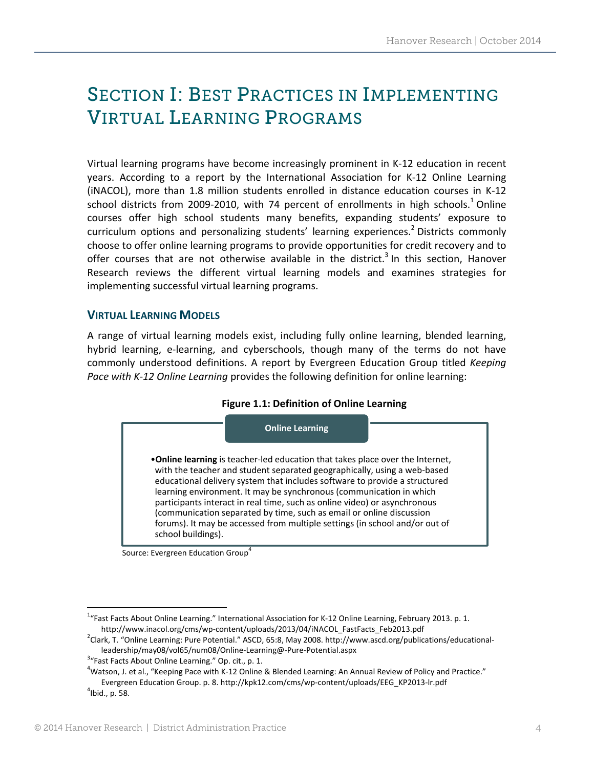## SECTION I: BEST PRACTICES IN IMPLEMENTING VIRTUAL LEARNING PROGRAMS

Virtual learning programs have become increasingly prominent in K‐12 education in recent years. According to a report by the International Association for K‐12 Online Learning (iNACOL), more than 1.8 million students enrolled in distance education courses in K‐12 school districts from 2009-2010, with 74 percent of enrollments in high schools. $1$  Online courses offer high school students many benefits, expanding students' exposure to curriculum options and personalizing students' learning experiences.<sup>2</sup> Districts commonly choose to offer online learning programs to provide opportunities for credit recovery and to offer courses that are not otherwise available in the district.<sup>3</sup> In this section, Hanover Research reviews the different virtual learning models and examines strategies for implementing successful virtual learning programs.

#### **VIRTUAL LEARNING MODELS**

A range of virtual learning models exist, including fully online learning, blended learning, hybrid learning, e‐learning, and cyberschools, though many of the terms do not have commonly understood definitions. A report by Evergreen Education Group titled *Keeping Pace with K‐12 Online Learning* provides the following definition for online learning:

#### **Figure 1.1: Definition of Online Learning**



Source: Evergreen Education Group<sup>4</sup>

<sup>&</sup>lt;sup>1</sup>"Fast Facts About Online Learning." International Association for K-12 Online Learning, February 2013. p. 1. http://www.inacol.org/cms/wp‐content/uploads/2013/04/iNACOL\_FastFacts\_Feb2013.pdf <sup>2</sup>

<sup>&</sup>lt;sup>2</sup>Clark, T. "Online Learning: Pure Potential." ASCD, 65:8, May 2008. http://www.ascd.org/publications/educationalleadership/may08/vol65/num08/Online‐Learning@‐Pure‐Potential.aspx <sup>3</sup>

 $3$ "Fast Facts About Online Learning." Op. cit., p. 1.

 $4$ Watson, J. et al., "Keeping Pace with K-12 Online & Blended Learning: An Annual Review of Policy and Practice." Evergreen Education Group. p. 8. http://kpk12.com/cms/wp-content/uploads/EEG\_KP2013-lr.pdf  $<sup>4</sup>$ Ibid., p. 58.</sup>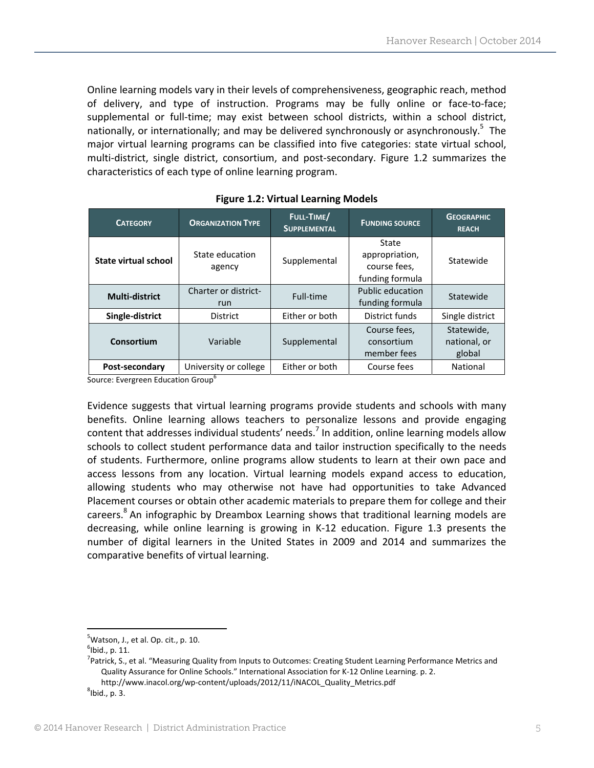Online learning models vary in their levels of comprehensiveness, geographic reach, method of delivery, and type of instruction. Programs may be fully online or face‐to‐face; supplemental or full-time; may exist between school districts, within a school district, nationally, or internationally; and may be delivered synchronously or asynchronously.<sup>5</sup> The major virtual learning programs can be classified into five categories: state virtual school, multi‐district, single district, consortium, and post‐secondary. Figure 1.2 summarizes the characteristics of each type of online learning program.

| <b>CATEGORY</b>             | <b>ORGANIZATION TYPE</b>    | FULL-TIME/<br><b>SUPPLEMENTAL</b> | <b>FUNDING SOURCE</b>                                      | <b>GEOGRAPHIC</b><br><b>REACH</b>    |
|-----------------------------|-----------------------------|-----------------------------------|------------------------------------------------------------|--------------------------------------|
| <b>State virtual school</b> | State education<br>agency   | Supplemental                      | State<br>appropriation,<br>course fees,<br>funding formula | Statewide                            |
| <b>Multi-district</b>       | Charter or district-<br>run | Full-time                         | Public education<br>funding formula                        | Statewide                            |
| Single-district             | <b>District</b>             | Either or both                    | District funds                                             | Single district                      |
| Consortium                  | Variable                    | Supplemental                      | Course fees,<br>consortium<br>member fees                  | Statewide,<br>national, or<br>global |
| Post-secondary              | University or college       | Either or both                    | Course fees                                                | National                             |

**Figure 1.2: Virtual Learning Models** 

Source: Evergreen Education Group<sup>6</sup>

Evidence suggests that virtual learning programs provide students and schools with many benefits. Online learning allows teachers to personalize lessons and provide engaging content that addresses individual students' needs.<sup>7</sup> In addition, online learning models allow schools to collect student performance data and tailor instruction specifically to the needs of students. Furthermore, online programs allow students to learn at their own pace and access lessons from any location. Virtual learning models expand access to education, allowing students who may otherwise not have had opportunities to take Advanced Placement courses or obtain other academic materials to prepare them for college and their careers.<sup>8</sup> An infographic by Dreambox Learning shows that traditional learning models are decreasing, while online learning is growing in K‐12 education. Figure 1.3 presents the number of digital learners in the United States in 2009 and 2014 and summarizes the comparative benefits of virtual learning.

 $^{5}$ Watson, J., et al. Op. cit., p. 10.<br> $^{6}$ Ibid., p. 11.

 $<sup>6</sup>$ Ibid., p. 11.</sup>

<sup>&</sup>lt;sup>7</sup>Patrick, S., et al. "Measuring Quality from Inputs to Outcomes: Creating Student Learning Performance Metrics and Quality Assurance for Online Schools." International Association for K‐12 Online Learning. p. 2. http://www.inacol.org/wp-content/uploads/2012/11/iNACOL\_Quality\_Metrics.pdf

 ${}^{8}$ Ibid., p. 3.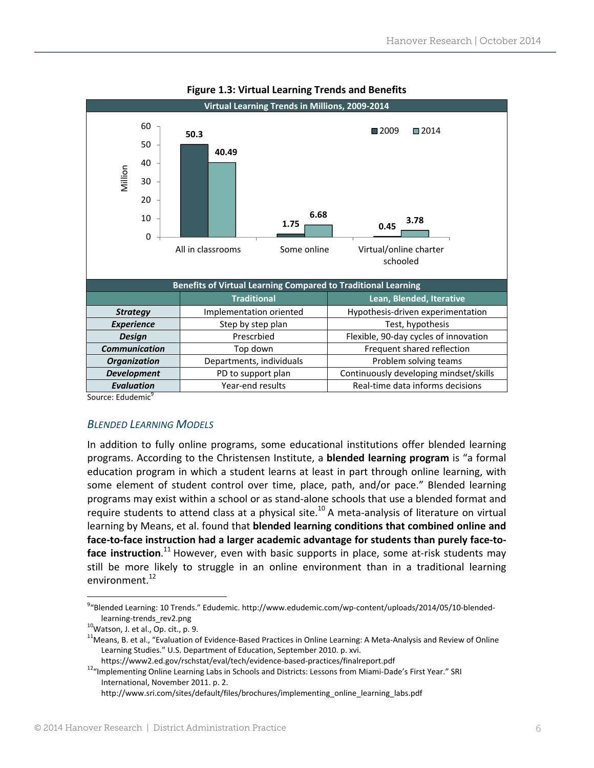

#### **Figure 1.3: Virtual Learning Trends and Benefits**

Source: Edudemic<sup>9</sup>

#### *BLENDED LEARNING MODELS*

In addition to fully online programs, some educational institutions offer blended learning programs. According to the Christensen Institute, a **blended learning program** is "a formal education program in which a student learns at least in part through online learning, with some element of student control over time, place, path, and/or pace." Blended learning programs may exist within a school or as stand‐alone schools that use a blended format and require students to attend class at a physical site.<sup>10</sup> A meta-analysis of literature on virtual learning by Means, et al. found that **blended learning conditions that combined online and face‐to‐face instruction had a larger academic advantage for students than purely face‐to‐ face instruction**. <sup>11</sup> However, even with basic supports in place, some at‐risk students may still be more likely to struggle in an online environment than in a traditional learning environment.<sup>12</sup>

<sup>&</sup>lt;sup>9</sup>"Blended Learning: 10 Trends." Edudemic. http://www.edudemic.com/wp-content/uploads/2014/05/10-blended-

learning-trends\_rev2.png<br><sup>10</sup>Watson, J. et al., Op. cit., p. 9.<br><sup>11</sup>Means, B. et al., "Evaluation of Evidence‐Based Practices in Online Learning: A Meta‐Analysis and Review of Online Learning Studies." U.S. Department of Education, September 2010. p. xvi.<br>https://www2.ed.gov/rschstat/eval/tech/evidence-based-practices/finalreport.pdf

<sup>12&</sup>quot;Implementing Online Learning Labs in Schools and Districts: Lessons from Miami-Dade's First Year." SRI International, November 2011. p. 2.

http://www.sri.com/sites/default/files/brochures/implementing\_online\_learning\_labs.pdf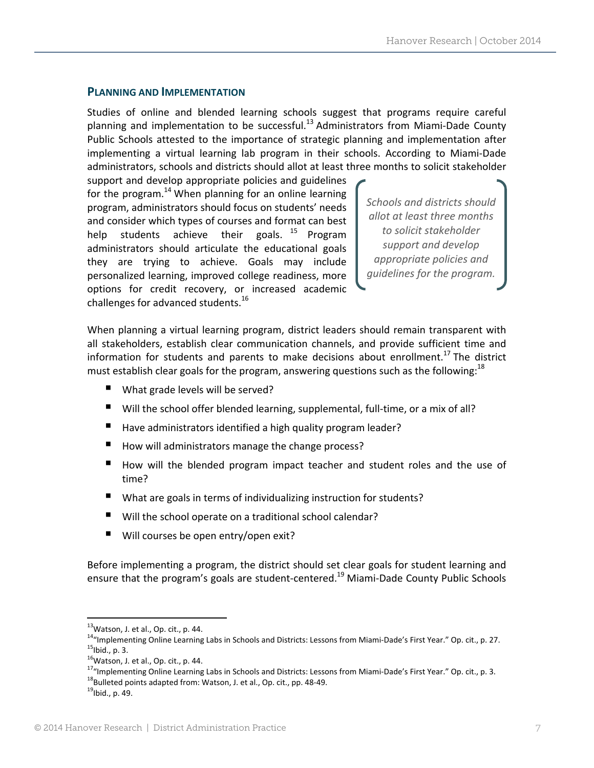#### **PLANNING AND IMPLEMENTATION**

Studies of online and blended learning schools suggest that programs require careful planning and implementation to be successful.<sup>13</sup> Administrators from Miami-Dade County Public Schools attested to the importance of strategic planning and implementation after implementing a virtual learning lab program in their schools. According to Miami‐Dade administrators, schools and districts should allot at least three months to solicit stakeholder

support and develop appropriate policies and guidelines for the program.<sup>14</sup> When planning for an online learning program, administrators should focus on students' needs and consider which types of courses and format can best help students achieve their goals.  $15$  Program administrators should articulate the educational goals they are trying to achieve. Goals may include personalized learning, improved college readiness, more options for credit recovery, or increased academic challenges for advanced students.16

*Schools and districts should allot at least three months to solicit stakeholder support and develop appropriate policies and guidelines for the program.*

When planning a virtual learning program, district leaders should remain transparent with all stakeholders, establish clear communication channels, and provide sufficient time and information for students and parents to make decisions about enrollment.<sup>17</sup> The district must establish clear goals for the program, answering questions such as the following:  $18$ 

- What grade levels will be served?
- Will the school offer blended learning, supplemental, full-time, or a mix of all?
- Have administrators identified a high quality program leader?
- How will administrators manage the change process?
- How will the blended program impact teacher and student roles and the use of time?
- What are goals in terms of individualizing instruction for students?
- Will the school operate on a traditional school calendar?
- Will courses be open entry/open exit?

Before implementing a program, the district should set clear goals for student learning and ensure that the program's goals are student-centered.<sup>19</sup> Miami-Dade County Public Schools

<sup>&</sup>lt;sup>13</sup>Watson, J. et al., Op. cit., p. 44.<br><sup>14</sup>"Implementing Online Learning Labs in Schools and Districts: Lessons from Miami-Dade's First Year." Op. cit., p. 27.<br><sup>15</sup>lbid., p. 3.<br><sup>15</sup>Watson, J. et al., Op. cit., p. 44.<br><sup>17</sup>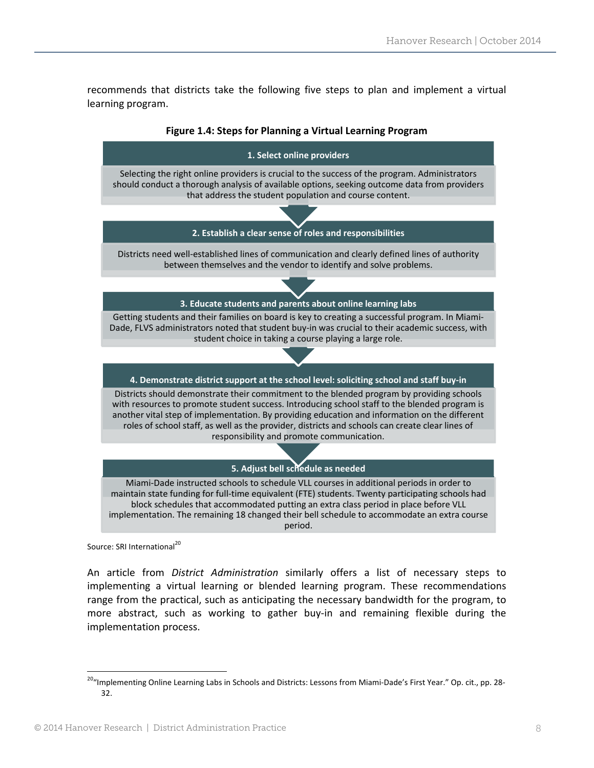recommends that districts take the following five steps to plan and implement a virtual learning program.



Source: SRI International<sup>20</sup>

An article from *District Administration* similarly offers a list of necessary steps to implementing a virtual learning or blended learning program. These recommendations range from the practical, such as anticipating the necessary bandwidth for the program, to more abstract, such as working to gather buy‐in and remaining flexible during the implementation process.

<sup>&</sup>lt;sup>20</sup>"Implementing Online Learning Labs in Schools and Districts: Lessons from Miami-Dade's First Year." Op. cit., pp. 28-32.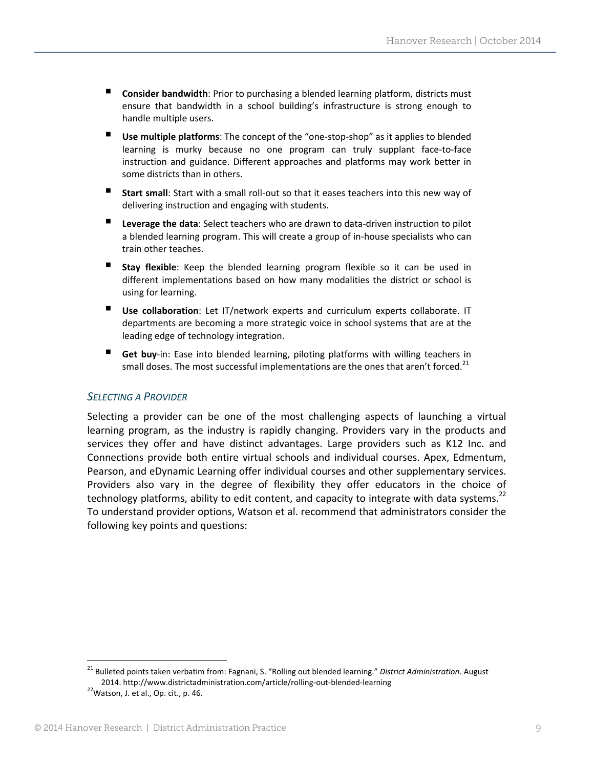- **Consider bandwidth**: Prior to purchasing a blended learning platform, districts must ensure that bandwidth in a school building's infrastructure is strong enough to handle multiple users.
- **Use multiple platforms**: The concept of the "one-stop-shop" as it applies to blended learning is murky because no one program can truly supplant face‐to‐face instruction and guidance. Different approaches and platforms may work better in some districts than in others.
- **Start small**: Start with <sup>a</sup> small roll‐out so that it eases teachers into this new way of delivering instruction and engaging with students.
- Leverage the data: Select teachers who are drawn to data-driven instruction to pilot a blended learning program. This will create a group of in‐house specialists who can train other teaches.
- **Stay flexible**: Keep the blended learning program flexible so it can be used in different implementations based on how many modalities the district or school is using for learning.
- **Use collaboration**: Let IT/network experts and curriculum experts collaborate. IT departments are becoming a more strategic voice in school systems that are at the leading edge of technology integration.
- Get buy-in: Ease into blended learning, piloting platforms with willing teachers in small doses. The most successful implementations are the ones that aren't forced.<sup>21</sup>

#### *SELECTING A PROVIDER*

Selecting a provider can be one of the most challenging aspects of launching a virtual learning program, as the industry is rapidly changing. Providers vary in the products and services they offer and have distinct advantages. Large providers such as K12 Inc. and Connections provide both entire virtual schools and individual courses. Apex, Edmentum, Pearson, and eDynamic Learning offer individual courses and other supplementary services. Providers also vary in the degree of flexibility they offer educators in the choice of technology platforms, ability to edit content, and capacity to integrate with data systems.<sup>22</sup> To understand provider options, Watson et al. recommend that administrators consider the following key points and questions:

<sup>21</sup> Bulleted points taken verbatim from: Fagnani, S. "Rolling out blended learning." *District Administration*. August 2014. http://www.districtadministration.com/article/rolling-out-blended-learning <sup>22</sup>Watson, J. et al., Op. cit., p. 46.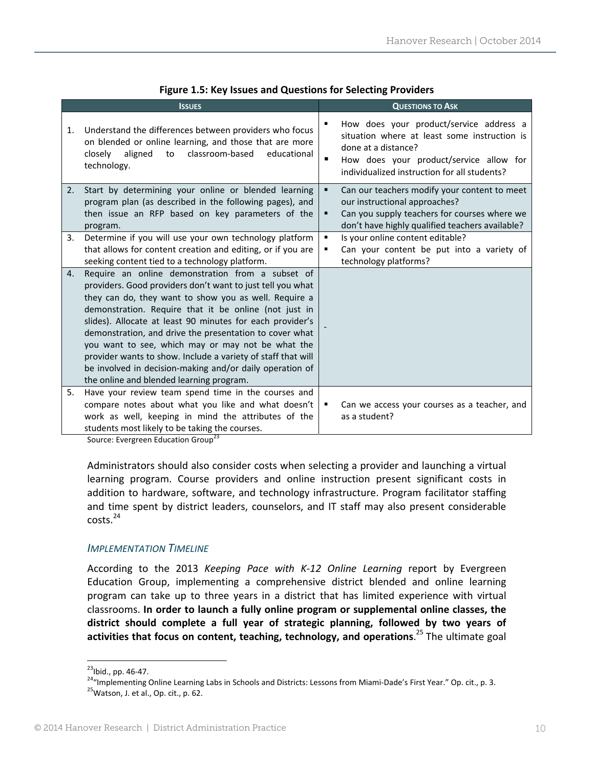|    | <b>ISSUES</b>                                                                                                                                                                                                                                                                                                                                                                                                                                                                                                                                                                         |                     | <b>QUESTIONS TO ASK</b>                                                                                                                                                                                   |
|----|---------------------------------------------------------------------------------------------------------------------------------------------------------------------------------------------------------------------------------------------------------------------------------------------------------------------------------------------------------------------------------------------------------------------------------------------------------------------------------------------------------------------------------------------------------------------------------------|---------------------|-----------------------------------------------------------------------------------------------------------------------------------------------------------------------------------------------------------|
| 1. | Understand the differences between providers who focus<br>on blended or online learning, and those that are more<br>classroom-based<br>closely<br>aligned<br>educational<br>to<br>technology.                                                                                                                                                                                                                                                                                                                                                                                         | ٠<br>٠              | How does your product/service address a<br>situation where at least some instruction is<br>done at a distance?<br>How does your product/service allow for<br>individualized instruction for all students? |
| 2. | Start by determining your online or blended learning<br>program plan (as described in the following pages), and<br>then issue an RFP based on key parameters of the<br>program.                                                                                                                                                                                                                                                                                                                                                                                                       | ٠<br>٠              | Can our teachers modify your content to meet<br>our instructional approaches?<br>Can you supply teachers for courses where we<br>don't have highly qualified teachers available?                          |
| 3. | Determine if you will use your own technology platform<br>that allows for content creation and editing, or if you are<br>seeking content tied to a technology platform.                                                                                                                                                                                                                                                                                                                                                                                                               | $\blacksquare$<br>٠ | Is your online content editable?<br>Can your content be put into a variety of<br>technology platforms?                                                                                                    |
| 4. | Require an online demonstration from a subset of<br>providers. Good providers don't want to just tell you what<br>they can do, they want to show you as well. Require a<br>demonstration. Require that it be online (not just in<br>slides). Allocate at least 90 minutes for each provider's<br>demonstration, and drive the presentation to cover what<br>you want to see, which may or may not be what the<br>provider wants to show. Include a variety of staff that will<br>be involved in decision-making and/or daily operation of<br>the online and blended learning program. |                     |                                                                                                                                                                                                           |
| 5. | Have your review team spend time in the courses and<br>compare notes about what you like and what doesn't<br>work as well, keeping in mind the attributes of the<br>students most likely to be taking the courses.                                                                                                                                                                                                                                                                                                                                                                    |                     | Can we access your courses as a teacher, and<br>as a student?                                                                                                                                             |

#### **Figure 1.5: Key Issues and Questions for Selecting Providers**

Source: Evergreen Education Group<sup>23</sup>

Administrators should also consider costs when selecting a provider and launching a virtual learning program. Course providers and online instruction present significant costs in addition to hardware, software, and technology infrastructure. Program facilitator staffing and time spent by district leaders, counselors, and IT staff may also present considerable  $costs.<sup>24</sup>$ 

#### *IMPLEMENTATION TIMELINE*

According to the 2013 *Keeping Pace with K‐12 Online Learning* report by Evergreen Education Group, implementing a comprehensive district blended and online learning program can take up to three years in a district that has limited experience with virtual classrooms. **In order to launch a fully online program or supplemental online classes, the district should complete a full year of strategic planning, followed by two years of activities that focus on content, teaching, technology, and operations**. <sup>25</sup> The ultimate goal

<sup>&</sup>lt;sup>23</sup>Ibid., pp. 46-47.<br><sup>24</sup>"Implementing Online Learning Labs in Schools and Districts: Lessons from Miami-Dade's First Year." Op. cit., p. 3.<br><sup>25</sup>Watson, J. et al., Op. cit., p. 62.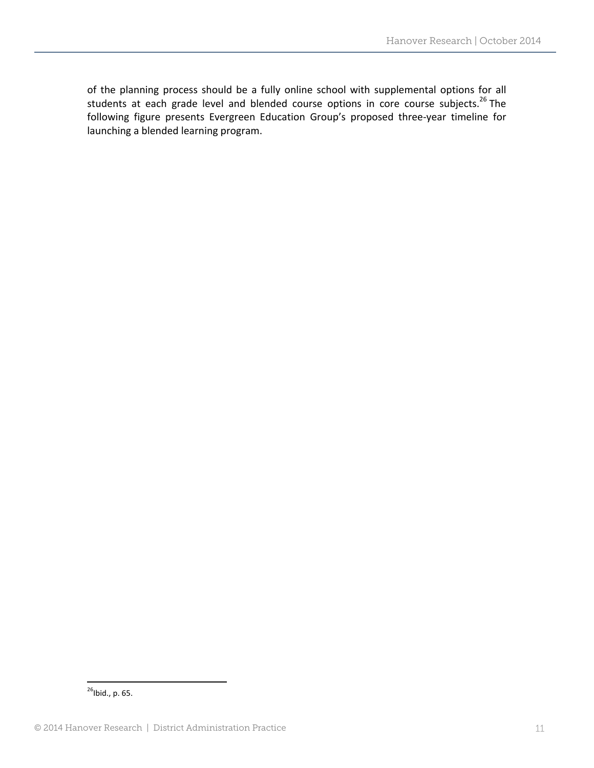of the planning process should be a fully online school with supplemental options for all students at each grade level and blended course options in core course subjects.<sup>26</sup> The following figure presents Evergreen Education Group's proposed three‐year timeline for launching a blended learning program.

  $^{26}$ Ibid., p. 65.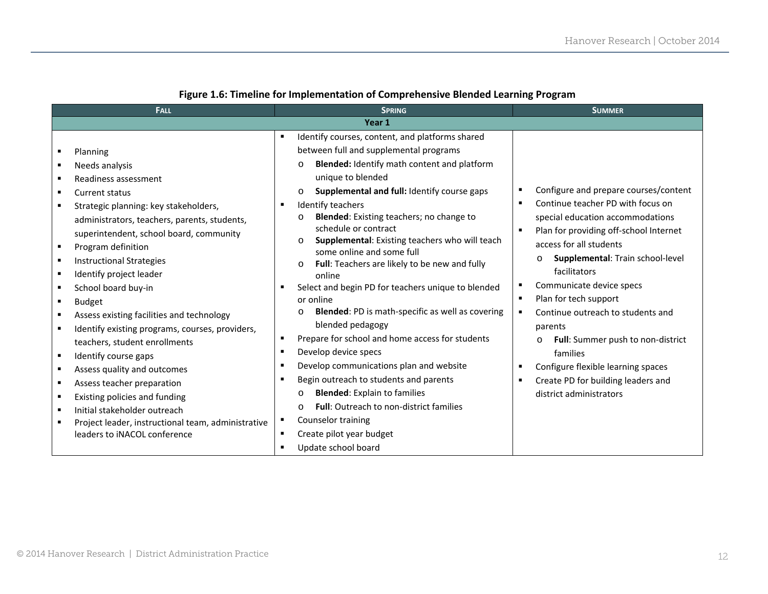| <b>FALL</b>                                                                                                                                                                                                                                                                                                                                                                                                                                                                                                                                                                                                                                                                                                             | <b>SPRING</b>                                                                                                                                                                                                                                                                                                                                                                                                                                                                                                                                                                                                                                                                                                                                                                                                                 | <b>SUMMER</b>                                                                                                                                                                                                                                                                                                                                                                                                                                                                                                    |
|-------------------------------------------------------------------------------------------------------------------------------------------------------------------------------------------------------------------------------------------------------------------------------------------------------------------------------------------------------------------------------------------------------------------------------------------------------------------------------------------------------------------------------------------------------------------------------------------------------------------------------------------------------------------------------------------------------------------------|-------------------------------------------------------------------------------------------------------------------------------------------------------------------------------------------------------------------------------------------------------------------------------------------------------------------------------------------------------------------------------------------------------------------------------------------------------------------------------------------------------------------------------------------------------------------------------------------------------------------------------------------------------------------------------------------------------------------------------------------------------------------------------------------------------------------------------|------------------------------------------------------------------------------------------------------------------------------------------------------------------------------------------------------------------------------------------------------------------------------------------------------------------------------------------------------------------------------------------------------------------------------------------------------------------------------------------------------------------|
|                                                                                                                                                                                                                                                                                                                                                                                                                                                                                                                                                                                                                                                                                                                         | Year 1                                                                                                                                                                                                                                                                                                                                                                                                                                                                                                                                                                                                                                                                                                                                                                                                                        |                                                                                                                                                                                                                                                                                                                                                                                                                                                                                                                  |
|                                                                                                                                                                                                                                                                                                                                                                                                                                                                                                                                                                                                                                                                                                                         | Identify courses, content, and platforms shared                                                                                                                                                                                                                                                                                                                                                                                                                                                                                                                                                                                                                                                                                                                                                                               |                                                                                                                                                                                                                                                                                                                                                                                                                                                                                                                  |
| Planning                                                                                                                                                                                                                                                                                                                                                                                                                                                                                                                                                                                                                                                                                                                | between full and supplemental programs                                                                                                                                                                                                                                                                                                                                                                                                                                                                                                                                                                                                                                                                                                                                                                                        |                                                                                                                                                                                                                                                                                                                                                                                                                                                                                                                  |
| Needs analysis<br>$\blacksquare$                                                                                                                                                                                                                                                                                                                                                                                                                                                                                                                                                                                                                                                                                        | Blended: Identify math content and platform<br>$\Omega$                                                                                                                                                                                                                                                                                                                                                                                                                                                                                                                                                                                                                                                                                                                                                                       |                                                                                                                                                                                                                                                                                                                                                                                                                                                                                                                  |
| Readiness assessment                                                                                                                                                                                                                                                                                                                                                                                                                                                                                                                                                                                                                                                                                                    | unique to blended                                                                                                                                                                                                                                                                                                                                                                                                                                                                                                                                                                                                                                                                                                                                                                                                             |                                                                                                                                                                                                                                                                                                                                                                                                                                                                                                                  |
| Current status<br>٠                                                                                                                                                                                                                                                                                                                                                                                                                                                                                                                                                                                                                                                                                                     | Supplemental and full: Identify course gaps<br>$\circ$                                                                                                                                                                                                                                                                                                                                                                                                                                                                                                                                                                                                                                                                                                                                                                        | Configure and prepare courses/content                                                                                                                                                                                                                                                                                                                                                                                                                                                                            |
| Strategic planning: key stakeholders,<br>administrators, teachers, parents, students,<br>superintendent, school board, community<br>Program definition<br>$\blacksquare$<br><b>Instructional Strategies</b><br>$\blacksquare$<br>Identify project leader<br>School board buy-in<br>٠<br><b>Budget</b><br>Assess existing facilities and technology<br>п<br>Identify existing programs, courses, providers,<br>teachers, student enrollments<br>$\blacksquare$<br>Identify course gaps<br>Assess quality and outcomes<br>п<br>Assess teacher preparation<br>$\blacksquare$<br>Existing policies and funding<br>Initial stakeholder outreach<br>$\blacksquare$<br>Project leader, instructional team, administrative<br>п | Identify teachers<br>$\blacksquare$<br><b>Blended:</b> Existing teachers; no change to<br>$\Omega$<br>schedule or contract<br>Supplemental: Existing teachers who will teach<br>$\circ$<br>some online and some full<br>Full: Teachers are likely to be new and fully<br>$\circ$<br>online<br>Select and begin PD for teachers unique to blended<br>$\blacksquare$<br>or online<br>Blended: PD is math-specific as well as covering<br>blended pedagogy<br>Prepare for school and home access for students<br>٠<br>Develop device specs<br>$\blacksquare$<br>Develop communications plan and website<br>$\blacksquare$<br>Begin outreach to students and parents<br>$\blacksquare$<br><b>Blended:</b> Explain to families<br>$\circ$<br><b>Full:</b> Outreach to non-district families<br>$\Omega$<br>Counselor training<br>п | Continue teacher PD with focus on<br>$\blacksquare$<br>special education accommodations<br>Plan for providing off-school Internet<br>access for all students<br>Supplemental: Train school-level<br>$\Omega$<br>facilitators<br>Communicate device specs<br>Plan for tech support<br>٠<br>Continue outreach to students and<br>parents<br>Full: Summer push to non-district<br>families<br>Configure flexible learning spaces<br>Create PD for building leaders and<br>$\blacksquare$<br>district administrators |
| leaders to INACOL conference                                                                                                                                                                                                                                                                                                                                                                                                                                                                                                                                                                                                                                                                                            | Create pilot year budget<br>٠<br>Update school board<br>$\blacksquare$                                                                                                                                                                                                                                                                                                                                                                                                                                                                                                                                                                                                                                                                                                                                                        |                                                                                                                                                                                                                                                                                                                                                                                                                                                                                                                  |

#### **Figure 1.6: Timeline for Implementation of Comprehensive Blended Learning Program**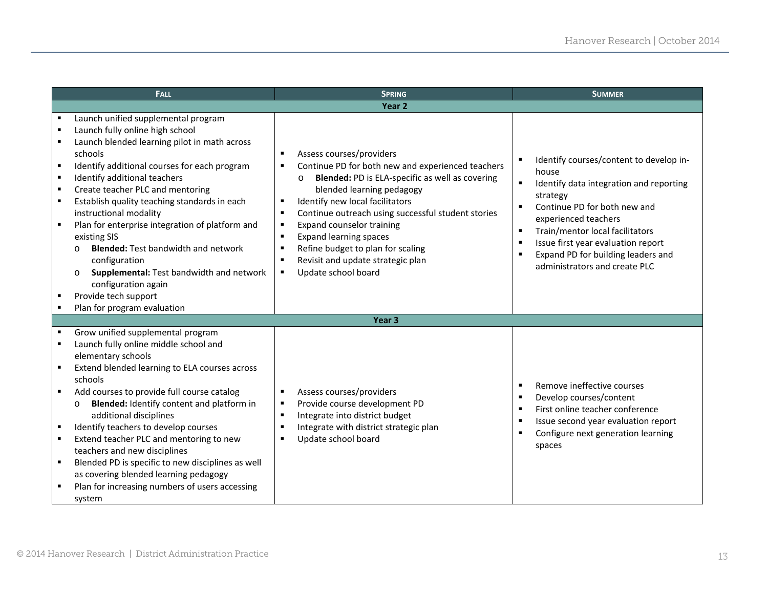| <b>FALL</b>                                                                                                                                                                                                                                                                                                                                                                                                                                                                                                                                                                                                                                    |                                                             | <b>SPRING</b>                                                                                                                                                                                                                                                                                                                                                                                                                                                                                                                                | <b>SUMMER</b>                                                                                                                                                                                                                                                                                                                                         |
|------------------------------------------------------------------------------------------------------------------------------------------------------------------------------------------------------------------------------------------------------------------------------------------------------------------------------------------------------------------------------------------------------------------------------------------------------------------------------------------------------------------------------------------------------------------------------------------------------------------------------------------------|-------------------------------------------------------------|----------------------------------------------------------------------------------------------------------------------------------------------------------------------------------------------------------------------------------------------------------------------------------------------------------------------------------------------------------------------------------------------------------------------------------------------------------------------------------------------------------------------------------------------|-------------------------------------------------------------------------------------------------------------------------------------------------------------------------------------------------------------------------------------------------------------------------------------------------------------------------------------------------------|
|                                                                                                                                                                                                                                                                                                                                                                                                                                                                                                                                                                                                                                                |                                                             | Year <sub>2</sub>                                                                                                                                                                                                                                                                                                                                                                                                                                                                                                                            |                                                                                                                                                                                                                                                                                                                                                       |
| Launch unified supplemental program<br>Launch fully online high school<br>Launch blended learning pilot in math across<br>schools<br>Identify additional courses for each program<br>$\blacksquare$<br>Identify additional teachers<br>$\blacksquare$<br>Create teacher PLC and mentoring<br>$\blacksquare$<br>Establish quality teaching standards in each<br>$\blacksquare$<br>instructional modality<br>Plan for enterprise integration of platform and<br>existing SIS<br><b>Blended: Test bandwidth and network</b><br>$\Omega$<br>configuration<br>$\circ$<br>configuration again<br>Provide tech support<br>Plan for program evaluation | п<br>п<br>Supplemental: Test bandwidth and network          | Assess courses/providers<br>$\blacksquare$<br>Continue PD for both new and experienced teachers<br>$\blacksquare$<br><b>Blended: PD is ELA-specific as well as covering</b><br>$\Omega$<br>blended learning pedagogy<br>Identify new local facilitators<br>п<br>Continue outreach using successful student stories<br>$\blacksquare$<br>Expand counselor training<br>$\blacksquare$<br><b>Expand learning spaces</b><br>Refine budget to plan for scaling<br>Revisit and update strategic plan<br>$\blacksquare$<br>Update school board<br>٠ | Identify courses/content to develop in-<br>house<br>$\blacksquare$<br>Identify data integration and reporting<br>strategy<br>Continue PD for both new and<br>п<br>experienced teachers<br>Train/mentor local facilitators<br>л<br>Issue first year evaluation report<br>л<br>Expand PD for building leaders and<br>п<br>administrators and create PLC |
|                                                                                                                                                                                                                                                                                                                                                                                                                                                                                                                                                                                                                                                |                                                             | Year <sub>3</sub>                                                                                                                                                                                                                                                                                                                                                                                                                                                                                                                            |                                                                                                                                                                                                                                                                                                                                                       |
| Grow unified supplemental program<br>Launch fully online middle school and<br>elementary schools<br>Extend blended learning to ELA courses across<br>schools<br>Add courses to provide full course catalog<br>$\circ$<br>additional disciplines<br>Identify teachers to develop courses<br>Extend teacher PLC and mentoring to new<br>teachers and new disciplines<br>Blended PD is specific to new disciplines as well<br>$\blacksquare$<br>as covering blended learning pedagogy<br>Plan for increasing numbers of users accessing<br>system                                                                                                 | Blended: Identify content and platform in<br>$\blacksquare$ | Assess courses/providers<br>$\blacksquare$<br>Provide course development PD<br>٠<br>Integrate into district budget<br>$\blacksquare$<br>Integrate with district strategic plan<br>Update school board<br>п                                                                                                                                                                                                                                                                                                                                   | Remove ineffective courses<br>Develop courses/content<br>л<br>First online teacher conference<br>п<br>Issue second year evaluation report<br>л<br>Configure next generation learning<br>spaces                                                                                                                                                        |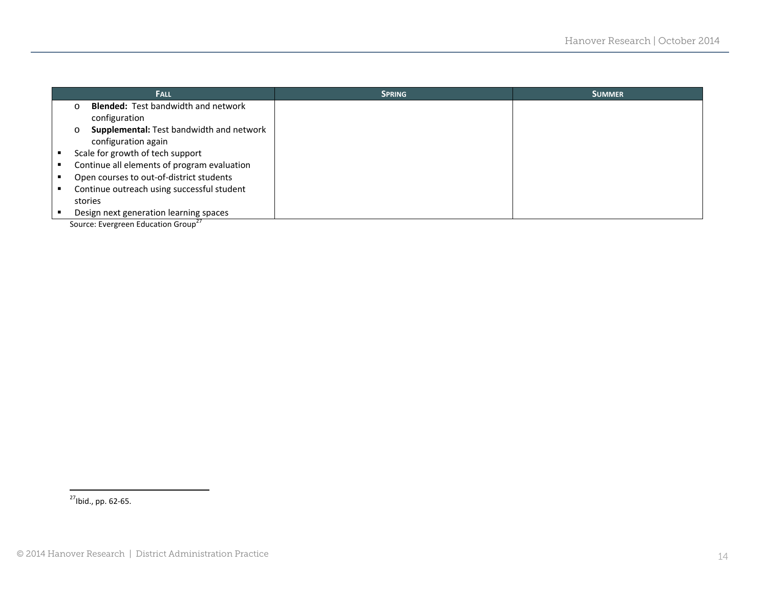| <b>FALL</b>                                            | <b>SPRING</b> | <b>SUMMER</b> |
|--------------------------------------------------------|---------------|---------------|
| <b>Blended: Test bandwidth and network</b><br>$\Omega$ |               |               |
| configuration                                          |               |               |
| Supplemental: Test bandwidth and network<br>$\circ$    |               |               |
| configuration again                                    |               |               |
| Scale for growth of tech support                       |               |               |
| Continue all elements of program evaluation            |               |               |
| Open courses to out-of-district students               |               |               |
| Continue outreach using successful student             |               |               |
| stories                                                |               |               |
| Design next generation learning spaces                 |               |               |

Source: Evergreen Education Group<sup>27</sup>

27Ibid., pp. <sup>62</sup>‐65.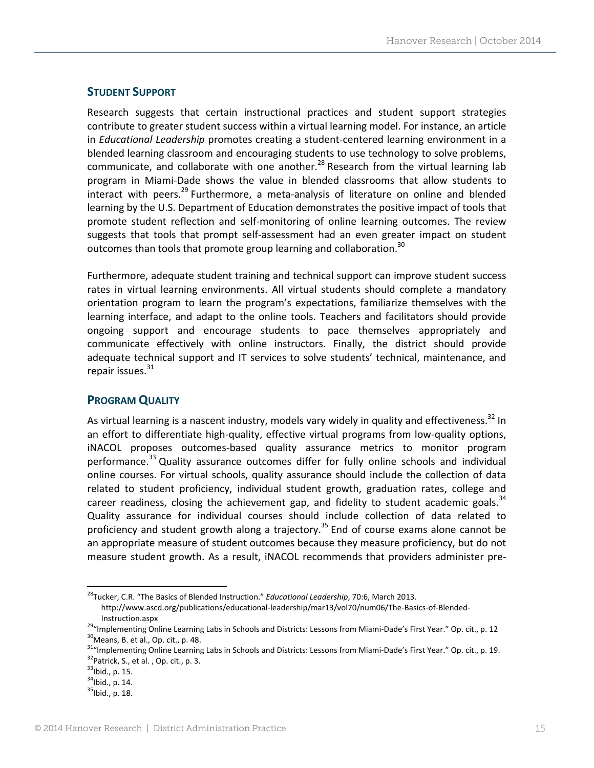#### **STUDENT SUPPORT**

Research suggests that certain instructional practices and student support strategies contribute to greater student success within a virtual learning model. For instance, an article in *Educational Leadership* promotes creating a student‐centered learning environment in a blended learning classroom and encouraging students to use technology to solve problems, communicate, and collaborate with one another.<sup>28</sup> Research from the virtual learning lab program in Miami‐Dade shows the value in blended classrooms that allow students to interact with peers.<sup>29</sup> Furthermore, a meta-analysis of literature on online and blended learning by the U.S. Department of Education demonstrates the positive impact of tools that promote student reflection and self-monitoring of online learning outcomes. The review suggests that tools that prompt self‐assessment had an even greater impact on student outcomes than tools that promote group learning and collaboration.<sup>30</sup>

Furthermore, adequate student training and technical support can improve student success rates in virtual learning environments. All virtual students should complete a mandatory orientation program to learn the program's expectations, familiarize themselves with the learning interface, and adapt to the online tools. Teachers and facilitators should provide ongoing support and encourage students to pace themselves appropriately and communicate effectively with online instructors. Finally, the district should provide adequate technical support and IT services to solve students' technical, maintenance, and repair issues. $31$ 

#### **PROGRAM QUALITY**

As virtual learning is a nascent industry, models vary widely in quality and effectiveness.<sup>32</sup> In an effort to differentiate high-quality, effective virtual programs from low-quality options, iNACOL proposes outcomes‐based quality assurance metrics to monitor program performance.<sup>33</sup> Quality assurance outcomes differ for fully online schools and individual online courses. For virtual schools, quality assurance should include the collection of data related to student proficiency, individual student growth, graduation rates, college and career readiness, closing the achievement gap, and fidelity to student academic goals.<sup>34</sup> Quality assurance for individual courses should include collection of data related to proficiency and student growth along a trajectory.<sup>35</sup> End of course exams alone cannot be an appropriate measure of student outcomes because they measure proficiency, but do not measure student growth. As a result, iNACOL recommends that providers administer pre‐

<sup>28</sup>Tucker, C.R. "The Basics of Blended Instruction." *Educational Leadership*, 70:6, March 2013. http://www.ascd.org/publications/educational‐leadership/mar13/vol70/num06/The‐Basics‐of‐Blended‐

Instruction.aspx<br>
<sup>29</sup>"Implementing Online Learning Labs in Schools and Districts: Lessons from Miami-Dade's First Year." Op. cit., p. 12<br>
<sup>30</sup>Means, B. et al., Op. cit., p. 48.<br>
<sup>31</sup>"Implementing Online Learning Labs in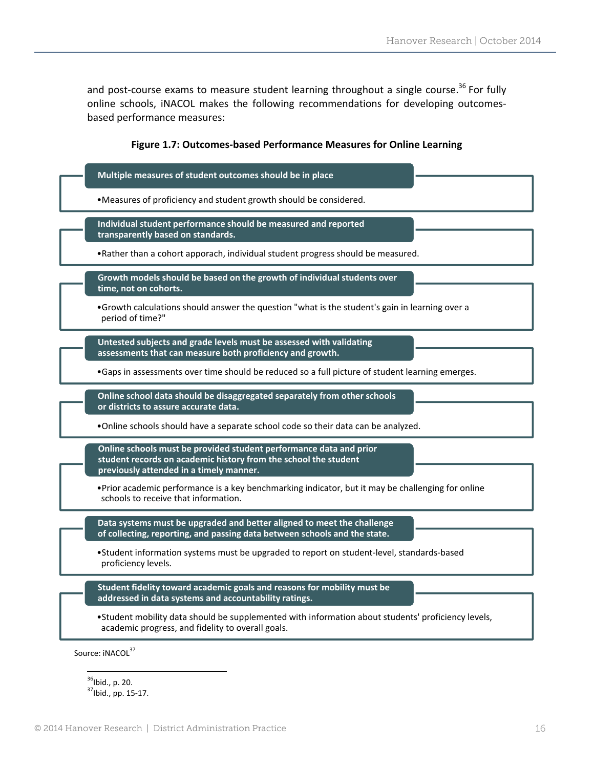and post-course exams to measure student learning throughout a single course.<sup>36</sup> For fully online schools, iNACOL makes the following recommendations for developing outcomes‐ based performance measures:

#### **Figure 1.7: Outcomes‐based Performance Measures for Online Learning**

| Multiple measures of student outcomes should be in place                                                                                                                         |
|----------------------------------------------------------------------------------------------------------------------------------------------------------------------------------|
| . Measures of proficiency and student growth should be considered.                                                                                                               |
| Individual student performance should be measured and reported<br>transparently based on standards.                                                                              |
| • Rather than a cohort apporach, individual student progress should be measured.                                                                                                 |
| Growth models should be based on the growth of individual students over<br>time, not on cohorts.                                                                                 |
| . Growth calculations should answer the question "what is the student's gain in learning over a<br>period of time?"                                                              |
| Untested subjects and grade levels must be assessed with validating<br>assessments that can measure both proficiency and growth.                                                 |
| •Gaps in assessments over time should be reduced so a full picture of student learning emerges.                                                                                  |
| Online school data should be disaggregated separately from other schools<br>or districts to assure accurate data.                                                                |
| . Online schools should have a separate school code so their data can be analyzed.                                                                                               |
| Online schools must be provided student performance data and prior<br>student records on academic history from the school the student<br>previously attended in a timely manner. |
| • Prior academic performance is a key benchmarking indicator, but it may be challenging for online<br>schools to receive that information.                                       |
| Data systems must be upgraded and better aligned to meet the challenge<br>of collecting, reporting, and passing data between schools and the state.                              |
| •Student information systems must be upgraded to report on student-level, standards-based<br>proficiency levels.                                                                 |
| Student fidelity toward academic goals and reasons for mobility must be<br>addressed in data systems and accountability ratings.                                                 |
| •Student mobility data should be supplemented with information about students' proficiency levels,<br>academic progress, and fidelity to overall goals.                          |

  $\frac{36}{37}$ Ibid., p. 20.<br> $\frac{37}{37}$ Ibid., pp. 15-17.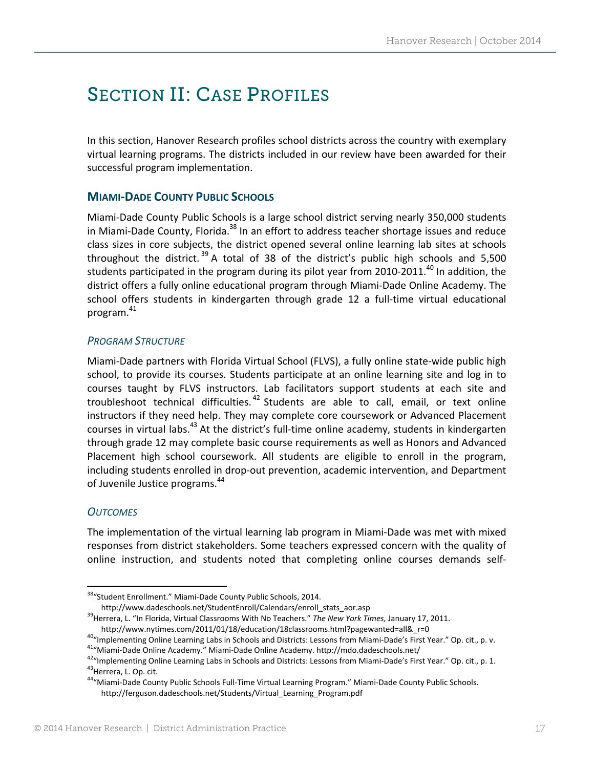# SECTION II: CASE PROFILES

In this section, Hanover Research profiles school districts across the country with exemplary virtual learning programs. The districts included in our review have been awarded for their successful program implementation.

#### **MIAMI‐DADE COUNTY PUBLIC SCHOOLS**

Miami‐Dade County Public Schools is a large school district serving nearly 350,000 students in Miami-Dade County, Florida.<sup>38</sup> In an effort to address teacher shortage issues and reduce class sizes in core subjects, the district opened several online learning lab sites at schools throughout the district.<sup>39</sup> A total of 38 of the district's public high schools and 5,500 students participated in the program during its pilot year from 2010-2011.<sup>40</sup> In addition, the district offers a fully online educational program through Miami‐Dade Online Academy. The school offers students in kindergarten through grade 12 a full-time virtual educational program. 41

#### *PROGRAM STRUCTURE*

Miami‐Dade partners with Florida Virtual School (FLVS), a fully online state‐wide public high school, to provide its courses. Students participate at an online learning site and log in to courses taught by FLVS instructors. Lab facilitators support students at each site and troubleshoot technical difficulties. <sup>42</sup> Students are able to call, email, or text online instructors if they need help. They may complete core coursework or Advanced Placement courses in virtual labs.<sup>43</sup> At the district's full-time online academy, students in kindergarten through grade 12 may complete basic course requirements as well as Honors and Advanced Placement high school coursework. All students are eligible to enroll in the program, including students enrolled in drop-out prevention, academic intervention, and Department of Juvenile Justice programs.<sup>44</sup>

#### *OUTCOMES*

The implementation of the virtual learning lab program in Miami‐Dade was met with mixed responses from district stakeholders. Some teachers expressed concern with the quality of online instruction, and students noted that completing online courses demands self‐

<sup>38&</sup>quot;Student Enrollment." Miami-Dade County Public Schools, 2014.

http://www.dadeschools.net/StudentEnroll/Calendars/enroll\_stats\_aor.asp 39Herrera, L. "In Florida, Virtual Classrooms With No Teachers." *The New York Times,* January 17, 2011.

http://www.nytimes.com/2011/01/18/education/18classrooms.html?pagewanted=all&\_r=0<br>
<sup>40</sup>"Implementing Online Learning Labs in Schools and Districts: Lessons from Miami-Dade's First Year." Op. cit., p. v.<br>
<sup>41</sup>"Miami-Dade On

http://ferguson.dadeschools.net/Students/Virtual\_Learning\_Program.pdf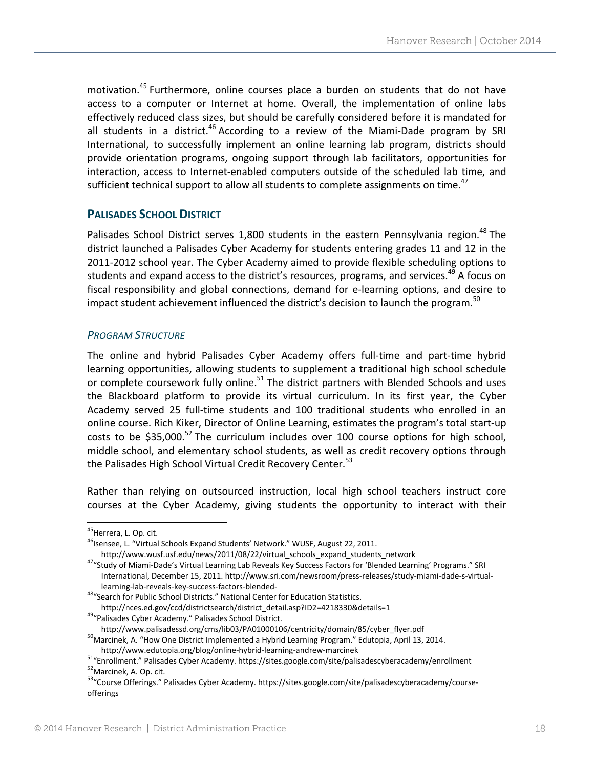motivation.<sup>45</sup> Furthermore, online courses place a burden on students that do not have access to a computer or Internet at home. Overall, the implementation of online labs effectively reduced class sizes, but should be carefully considered before it is mandated for all students in a district.<sup>46</sup> According to a review of the Miami-Dade program by SRI International, to successfully implement an online learning lab program, districts should provide orientation programs, ongoing support through lab facilitators, opportunities for interaction, access to Internet-enabled computers outside of the scheduled lab time, and sufficient technical support to allow all students to complete assignments on time.<sup>47</sup>

#### **PALISADES SCHOOL DISTRICT**

Palisades School District serves 1,800 students in the eastern Pennsylvania region.<sup>48</sup> The district launched a Palisades Cyber Academy for students entering grades 11 and 12 in the 2011‐2012 school year. The Cyber Academy aimed to provide flexible scheduling options to students and expand access to the district's resources, programs, and services.<sup>49</sup> A focus on fiscal responsibility and global connections, demand for e‐learning options, and desire to impact student achievement influenced the district's decision to launch the program.<sup>50</sup>

#### *PROGRAM STRUCTURE*

The online and hybrid Palisades Cyber Academy offers full‐time and part‐time hybrid learning opportunities, allowing students to supplement a traditional high school schedule or complete coursework fully online.<sup>51</sup> The district partners with Blended Schools and uses the Blackboard platform to provide its virtual curriculum. In its first year, the Cyber Academy served 25 full-time students and 100 traditional students who enrolled in an online course. Rich Kiker, Director of Online Learning, estimates the program's total start‐up costs to be \$35,000.<sup>52</sup> The curriculum includes over 100 course options for high school, middle school, and elementary school students, as well as credit recovery options through the Palisades High School Virtual Credit Recovery Center.<sup>53</sup>

Rather than relying on outsourced instruction, local high school teachers instruct core courses at the Cyber Academy, giving students the opportunity to interact with their

<sup>47</sup>"Study of Miami-Dade's Virtual Learning Lab Reveals Key Success Factors for 'Blended Learning' Programs." SRI International, December 15, 2011. http://www.sri.com/newsroom/press‐releases/study‐miami‐dade‐s‐virtual‐ learning-lab-reveals-key-success-factors-blended-<br><sup>48</sup>"Search for Public School Districts." National Center for Education Statistics.

<sup>&</sup>lt;sup>45</sup>Herrera, L. Op. cit.<br><sup>46</sup>Isensee, L. "Virtual Schools Expand Students' Network." WUSF, August 22, 2011.<br>http://www.wusf.usf.edu/news/2011/08/22/virtual schools expand students network

http://nces.ed.gov/ccd/districtsearch/district\_detail.asp?ID2=4218330&details=1<br>
<sup>49</sup>"Palisades Cyber Academy." Palisades School District.<br>
http://www.palisadessd.org/cms/lib03/PA01000106/centricity/domain/85/cyber\_flyer.p

 $50$ Marcinek, A. "How One District Implemented a Hybrid Learning Program." Edutopia, April 13, 2014.

http://www.edutopia.org/blog/online-hybrid-learning-andrew-marcinek<br>
<sup>51</sup>"Enrollment." Palisades Cyber Academy. https://sites.google.com/site/palisadescyberacademy/enrollment<br>
<sup>52</sup>Marcinek, A. Op. cit.<br>
<sup>52</sup>Marcinek, A. Op

offerings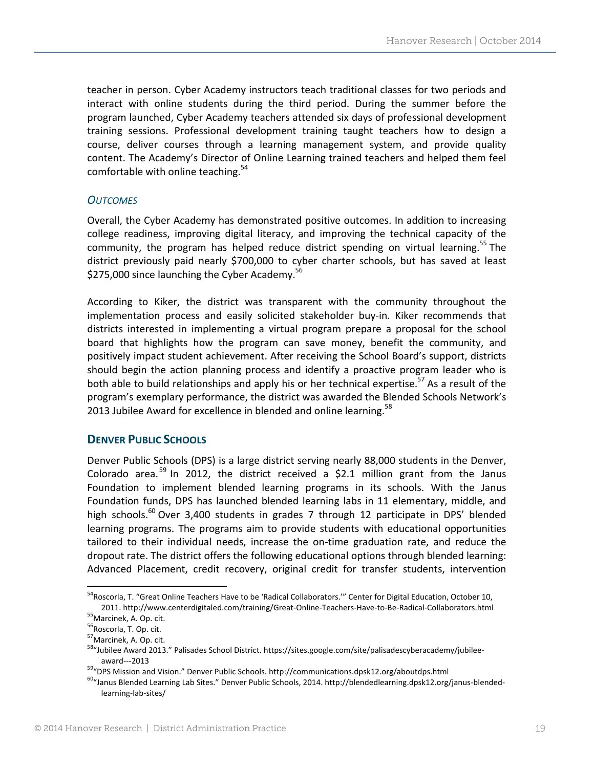teacher in person. Cyber Academy instructors teach traditional classes for two periods and interact with online students during the third period. During the summer before the program launched, Cyber Academy teachers attended six days of professional development training sessions. Professional development training taught teachers how to design a course, deliver courses through a learning management system, and provide quality content. The Academy's Director of Online Learning trained teachers and helped them feel comfortable with online teaching. $54$ 

#### *OUTCOMES*

Overall, the Cyber Academy has demonstrated positive outcomes. In addition to increasing college readiness, improving digital literacy, and improving the technical capacity of the community, the program has helped reduce district spending on virtual learning.<sup>55</sup> The district previously paid nearly \$700,000 to cyber charter schools, but has saved at least \$275,000 since launching the Cyber Academy. $56$ 

According to Kiker, the district was transparent with the community throughout the implementation process and easily solicited stakeholder buy‐in. Kiker recommends that districts interested in implementing a virtual program prepare a proposal for the school board that highlights how the program can save money, benefit the community, and positively impact student achievement. After receiving the School Board's support, districts should begin the action planning process and identify a proactive program leader who is both able to build relationships and apply his or her technical expertise.<sup>57</sup> As a result of the program's exemplary performance, the district was awarded the Blended Schools Network's 2013 Jubilee Award for excellence in blended and online learning.<sup>58</sup>

#### **DENVER PUBLIC SCHOOLS**

Denver Public Schools (DPS) is a large district serving nearly 88,000 students in the Denver, Colorado area.<sup>59</sup> In 2012, the district received a \$2.1 million grant from the Janus Foundation to implement blended learning programs in its schools. With the Janus Foundation funds, DPS has launched blended learning labs in 11 elementary, middle, and high schools.<sup>60</sup> Over 3,400 students in grades 7 through 12 participate in DPS' blended learning programs. The programs aim to provide students with educational opportunities tailored to their individual needs, increase the on‐time graduation rate, and reduce the dropout rate. The district offers the following educational options through blended learning: Advanced Placement, credit recovery, original credit for transfer students, intervention

<sup>&</sup>lt;sup>54</sup>Roscorla, T. "Great Online Teachers Have to be 'Radical Collaborators."" Center for Digital Education, October 10, 2011. http://www.centerdigitaled.com/training/Great-Online-Teachers-Have-to-Be-Radical-Collaborators.html<br><sup>55</sup>Marcinek, A. Op. cit.<br><sup>56</sup>Roscorla, T. Op. cit.<br><sup>57</sup>Marcinek, A. Op. cit.<br><sup>57</sup>Marcinek, A. Op. cit.<br><sup>58</sup>Marcinek

award---2013<br><sup>59</sup>"DPS Mission and Vision." Denver Public Schools. http://communications.dpsk12.org/aboutdps.html<br><sup>60</sup>"Janus Blended Learning Lab Sites." Denver Public Schools, 2014. http://blendedlearning.dpsk12.org/janus learning‐lab‐sites/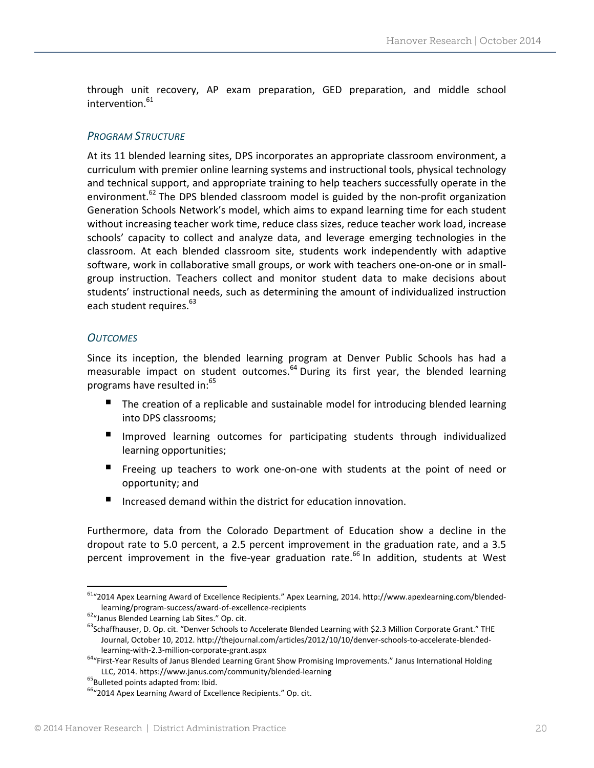through unit recovery, AP exam preparation, GED preparation, and middle school intervention.<sup>61</sup>

#### *PROGRAM STRUCTURE*

At its 11 blended learning sites, DPS incorporates an appropriate classroom environment, a curriculum with premier online learning systems and instructional tools, physical technology and technical support, and appropriate training to help teachers successfully operate in the environment.<sup>62</sup> The DPS blended classroom model is guided by the non-profit organization Generation Schools Network's model, which aims to expand learning time for each student without increasing teacher work time, reduce class sizes, reduce teacher work load, increase schools' capacity to collect and analyze data, and leverage emerging technologies in the classroom. At each blended classroom site, students work independently with adaptive software, work in collaborative small groups, or work with teachers one-on-one or in smallgroup instruction. Teachers collect and monitor student data to make decisions about students' instructional needs, such as determining the amount of individualized instruction each student requires.<sup>63</sup>

#### *OUTCOMES*

Since its inception, the blended learning program at Denver Public Schools has had a measurable impact on student outcomes.<sup>64</sup> During its first year, the blended learning programs have resulted in:<sup>65</sup>

- The creation of a replicable and sustainable model for introducing blended learning into DPS classrooms;
- **Improved learning outcomes for participating students through individualized** learning opportunities;
- Freeing up teachers to work one-on-one with students at the point of need or opportunity; and
- Increased demand within the district for education innovation.

Furthermore, data from the Colorado Department of Education show a decline in the dropout rate to 5.0 percent, a 2.5 percent improvement in the graduation rate, and a 3.5 percent improvement in the five-year graduation rate.<sup>66</sup> In addition, students at West

<sup>61&</sup>quot;2014 Apex Learning Award of Excellence Recipients." Apex Learning, 2014. http://www.apexlearning.com/blended‐ learning/program-success/award-of-excellence-recipients 62"Janus Blended Learning Lab Sites." Op. cit. 63Schaffhauser, D. Op. cit. "Denver Schools to Accelerate Blended Learning with \$2.3 Million Corporate Grant." THE <sup></sup>

Journal, October 10, 2012. http://thejournal.com/articles/2012/10/10/denver‐schools‐to‐accelerate‐blended‐

learning-with-2.3-million-corporate-grant.aspx<br><sup>64</sup>"First-Year Results of Janus Blended Learning Grant Show Promising Improvements." Janus International Holding LLC, 2014. https://www.janus.com/community/blended-learning 65Bulleted points adapted from: Ibid. 66"<br>66"2014 Apex Learning Award of Excellence Recipients." Op. cit.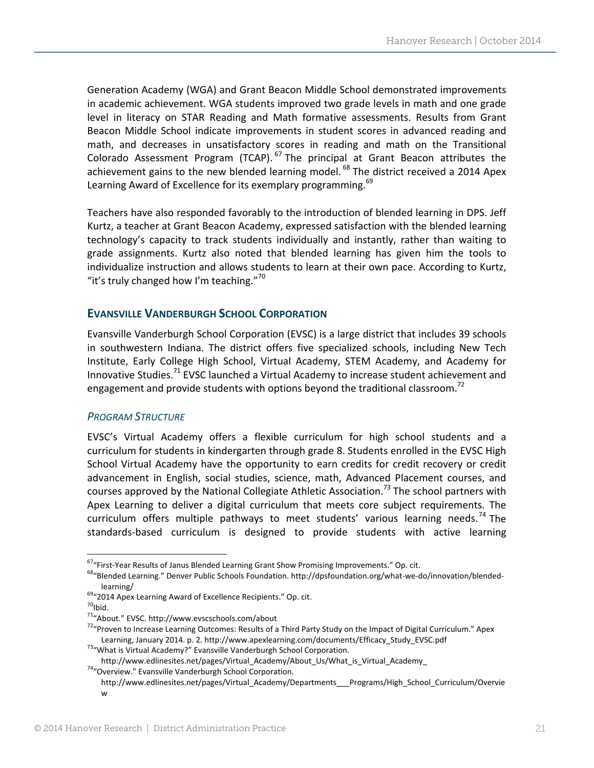Generation Academy (WGA) and Grant Beacon Middle School demonstrated improvements in academic achievement. WGA students improved two grade levels in math and one grade level in literacy on STAR Reading and Math formative assessments. Results from Grant Beacon Middle School indicate improvements in student scores in advanced reading and math, and decreases in unsatisfactory scores in reading and math on the Transitional Colorado Assessment Program (TCAP).  $^{67}$  The principal at Grant Beacon attributes the achievement gains to the new blended learning model.  $^{68}$  The district received a 2014 Apex Learning Award of Excellence for its exemplary programming.<sup>69</sup>

Teachers have also responded favorably to the introduction of blended learning in DPS. Jeff Kurtz, a teacher at Grant Beacon Academy, expressed satisfaction with the blended learning technology's capacity to track students individually and instantly, rather than waiting to grade assignments. Kurtz also noted that blended learning has given him the tools to individualize instruction and allows students to learn at their own pace. According to Kurtz, "it's truly changed how I'm teaching." $70$ 

#### **EVANSVILLE VANDERBURGH SCHOOL CORPORATION**

Evansville Vanderburgh School Corporation (EVSC) is a large district that includes 39 schools in southwestern Indiana. The district offers five specialized schools, including New Tech Institute, Early College High School, Virtual Academy, STEM Academy, and Academy for Innovative Studies.<sup>71</sup> EVSC launched a Virtual Academy to increase student achievement and engagement and provide students with options beyond the traditional classroom.<sup>72</sup>

#### *PROGRAM STRUCTURE*

EVSC's Virtual Academy offers a flexible curriculum for high school students and a curriculum for students in kindergarten through grade 8. Students enrolled in the EVSC High School Virtual Academy have the opportunity to earn credits for credit recovery or credit advancement in English, social studies, science, math, Advanced Placement courses, and courses approved by the National Collegiate Athletic Association.<sup>73</sup> The school partners with Apex Learning to deliver a digital curriculum that meets core subject requirements. The curriculum offers multiple pathways to meet students' various learning needs.<sup>74</sup> The standards‐based curriculum is designed to provide students with active learning

<sup>&</sup>lt;sup>67</sup>"First-Year Results of Janus Blended Learning Grant Show Promising Improvements." Op. cit.<br><sup>68</sup>"Blended Learning." Denver Public Schools Foundation. http://dpsfoundation.org/what-we-do/innovation/blended-

learning/<br><sup>69</sup>"2014 Apex Learning Award of Excellence Recipients." Op. cit.<br><sup>70</sup>Ibid.<br><sup>71</sup>"About." EVSC. http://www.evscschools.com/about

<sup>&</sup>lt;sup>72</sup>"Proven to Increase Learning Outcomes: Results of a Third Party Study on the Impact of Digital Curriculum." Apex Learning, January 2014. p. 2. http://www.apexlearning.com/documents/Efficacy\_Study\_EVSC.pdf <sup>73</sup>"What is Virtual Academy?" Evansville Vanderburgh School Corporation.

http://www.edlinesites.net/pages/Virtual\_Academy/About\_Us/What\_is\_Virtual\_Academy\_ 74"Overview." Evansville Vanderburgh School Corporation.

http://www.edlinesites.net/pages/Virtual\_Academy/Departments\_\_\_Programs/High\_School\_Curriculum/Overvie w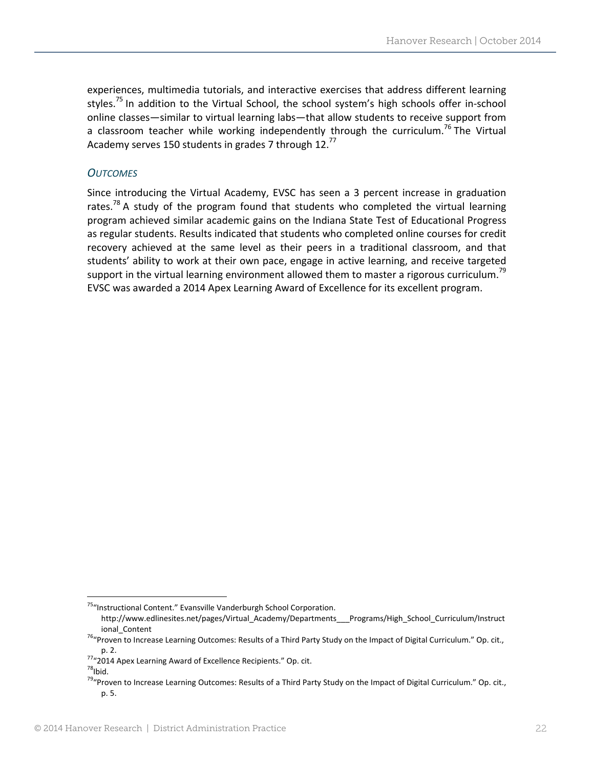experiences, multimedia tutorials, and interactive exercises that address different learning styles.<sup>75</sup> In addition to the Virtual School, the school system's high schools offer in-school online classes—similar to virtual learning labs—that allow students to receive support from a classroom teacher while working independently through the curriculum.<sup>76</sup> The Virtual Academy serves 150 students in grades 7 through 12. $^{77}$ 

#### *OUTCOMES*

Since introducing the Virtual Academy, EVSC has seen a 3 percent increase in graduation rates.<sup>78</sup> A study of the program found that students who completed the virtual learning program achieved similar academic gains on the Indiana State Test of Educational Progress as regular students. Results indicated that students who completed online courses for credit recovery achieved at the same level as their peers in a traditional classroom, and that students' ability to work at their own pace, engage in active learning, and receive targeted support in the virtual learning environment allowed them to master a rigorous curriculum.<sup>79</sup> EVSC was awarded a 2014 Apex Learning Award of Excellence for its excellent program.

<sup>&</sup>lt;sup>75</sup>"Instructional Content." Evansville Vanderburgh School Corporation.

http://www.edlinesites.net/pages/Virtual\_Academy/Departments\_\_\_Programs/High\_School\_Curriculum/Instruct

ional\_Content *increase Learning Outcomes: Results of a Third Party Study on the Impact of Digital Curriculum." Op. cit.,*  $^{76}$ <sup>16</sup>

p. 2.<br><sup>77</sup>"2014 Apex Learning Award of Excellence Recipients." Op. cit.<br><sup>78</sup>Ibid.

<sup>&</sup>lt;sup>79</sup>"Proven to Increase Learning Outcomes: Results of a Third Party Study on the Impact of Digital Curriculum." Op. cit., p. 5.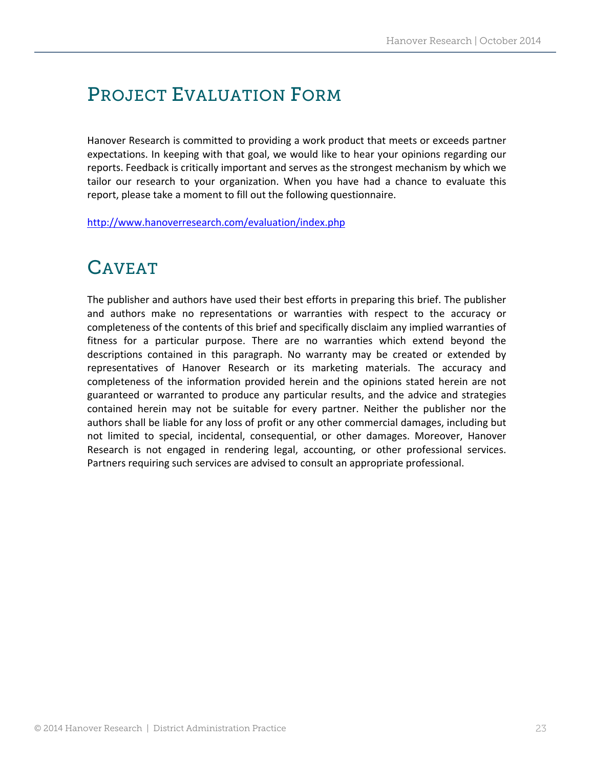## PROJECT EVALUATION FORM

Hanover Research is committed to providing a work product that meets or exceeds partner expectations. In keeping with that goal, we would like to hear your opinions regarding our reports. Feedback is critically important and serves as the strongest mechanism by which we tailor our research to your organization. When you have had a chance to evaluate this report, please take a moment to fill out the following questionnaire.

http://www.hanoverresearch.com/evaluation/index.php

### CAVEAT

The publisher and authors have used their best efforts in preparing this brief. The publisher and authors make no representations or warranties with respect to the accuracy or completeness of the contents of this brief and specifically disclaim any implied warranties of fitness for a particular purpose. There are no warranties which extend beyond the descriptions contained in this paragraph. No warranty may be created or extended by representatives of Hanover Research or its marketing materials. The accuracy and completeness of the information provided herein and the opinions stated herein are not guaranteed or warranted to produce any particular results, and the advice and strategies contained herein may not be suitable for every partner. Neither the publisher nor the authors shall be liable for any loss of profit or any other commercial damages, including but not limited to special, incidental, consequential, or other damages. Moreover, Hanover Research is not engaged in rendering legal, accounting, or other professional services. Partners requiring such services are advised to consult an appropriate professional.